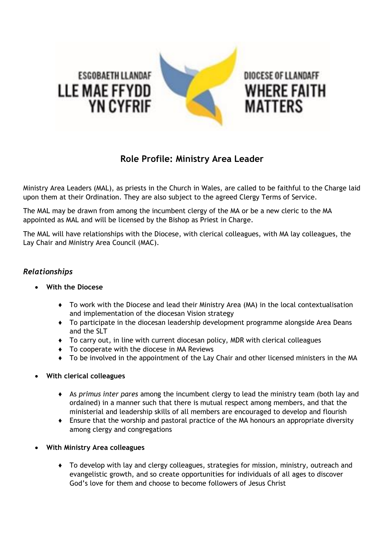

## **Role Profile: Ministry Area Leader**

Ministry Area Leaders (MAL), as priests in the Church in Wales, are called to be faithful to the Charge laid upon them at their Ordination. They are also subject to the agreed Clergy Terms of Service.

The MAL may be drawn from among the incumbent clergy of the MA or be a new cleric to the MA appointed as MAL and will be licensed by the Bishop as Priest in Charge.

The MAL will have relationships with the Diocese, with clerical colleagues, with MA lay colleagues, the Lay Chair and Ministry Area Council (MAC).

## *Relationships*

- **With the Diocese** 
	- ♦ To work with the Diocese and lead their Ministry Area (MA) in the local contextualisation and implementation of the diocesan Vision strategy
	- ♦ To participate in the diocesan leadership development programme alongside Area Deans and the SLT
	- ♦ To carry out, in line with current diocesan policy, MDR with clerical colleagues
	- ♦ To cooperate with the diocese in MA Reviews
	- ♦ To be involved in the appointment of the Lay Chair and other licensed ministers in the MA
- **With clerical colleagues**
	- ♦ As *primus inter pares* among the incumbent clergy to lead the ministry team (both lay and ordained) in a manner such that there is mutual respect among members, and that the ministerial and leadership skills of all members are encouraged to develop and flourish
	- ♦ Ensure that the worship and pastoral practice of the MA honours an appropriate diversity among clergy and congregations
- **With Ministry Area colleagues**
	- ♦ To develop with lay and clergy colleagues, strategies for mission, ministry, outreach and evangelistic growth, and so create opportunities for individuals of all ages to discover God's love for them and choose to become followers of Jesus Christ